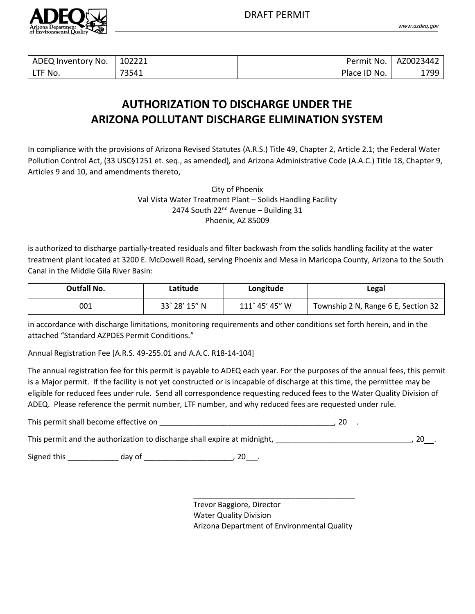

| ADEQ Inventory<br>No. | 102221 | $H \cap N$<br>Permit | AZ0023442 |
|-----------------------|--------|----------------------|-----------|
| --<br>No.<br>니비       | 73541  | Place ID No.         | 1799      |

# **AUTHORIZATION TO DISCHARGE UNDER THE ARIZONA POLLUTANT DISCHARGE ELIMINATION SYSTEM**

In compliance with the provisions of Arizona Revised Statutes (A.R.S.) Title 49, Chapter 2, Article 2.1; the Federal Water Pollution Control Act, (33 USC§1251 et. seq., as amended), and Arizona Administrative Code (A.A.C.) Title 18, Chapter 9, Articles 9 and 10, and amendments thereto,

> City of Phoenix Val Vista Water Treatment Plant – Solids Handling Facility 2474 South  $22^{nd}$  Avenue – Building 31 Phoenix, AZ 85009

is authorized to discharge partially-treated residuals and filter backwash from the solids handling facility at the water treatment plant located at 3200 E. McDowell Road, serving Phoenix and Mesa in Maricopa County, Arizona to the South Canal in the Middle Gila River Basin:

| <b>Outfall No.</b> | Latitude      | Longitude      | Legal                               |
|--------------------|---------------|----------------|-------------------------------------|
| 001                | 33° 28′ 15″ N | 111° 45' 45" W | Township 2 N, Range 6 E, Section 32 |

in accordance with discharge limitations, monitoring requirements and other conditions set forth herein, and in the attached "Standard AZPDES Permit Conditions."

Annual Registration Fee [A.R.S. 49-255.01 and A.A.C. R18-14-104]

The annual registration fee for this permit is payable to ADEQ each year. For the purposes of the annual fees, this permit is a Major permit. If the facility is not yet constructed or is incapable of discharge at this time, the permittee may be eligible for reduced fees under rule. Send all correspondence requesting reduced fees to the Water Quality Division of ADEQ. Please reference the permit number, LTF number, and why reduced fees are requested under rule.

This permit shall become effective on **which is a set of the set of the set of the set of the set of the set of the set of the set of the set of the set of the set of the set of the set of the set of the set of the set of** 

This permit and the authorization to discharge shall expire at midnight, This permit and the authorization to discharge shall expire at midnight,

Signed this \_\_\_\_\_\_\_\_\_\_\_\_ day of \_\_\_\_\_\_\_\_\_\_\_\_\_\_\_\_\_\_\_\_\_, 20 .

Trevor Baggiore, Director Water Quality Division Arizona Department of Environmental Quality

\_\_\_\_\_\_\_\_\_\_\_\_\_\_\_\_\_\_\_\_\_\_\_\_\_\_\_\_\_\_\_\_\_\_\_\_\_\_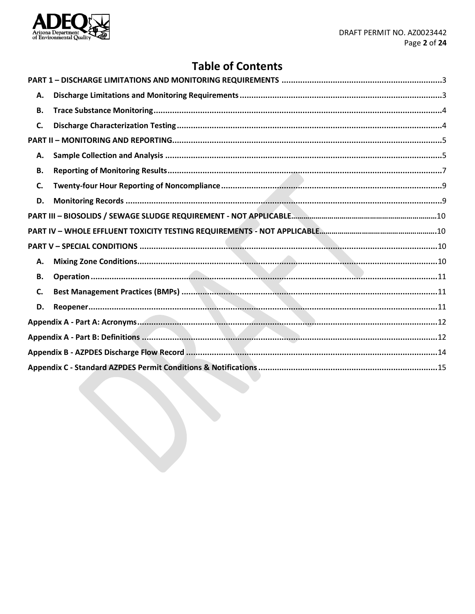

# **Table of Contents**

| А. |  |
|----|--|
| В. |  |
| C. |  |
|    |  |
| А. |  |
| В. |  |
| C. |  |
| D. |  |
|    |  |
|    |  |
|    |  |
| А. |  |
| В. |  |
| C. |  |
| D. |  |
|    |  |
|    |  |
|    |  |
|    |  |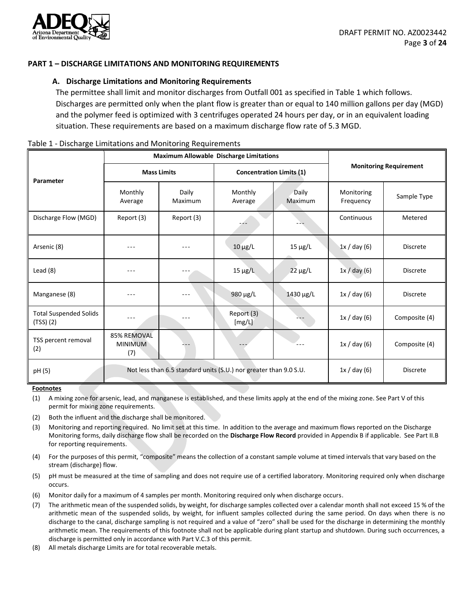

## <span id="page-2-1"></span><span id="page-2-0"></span>**PART 1 – DISCHARGE LIMITATIONS AND MONITORING REQUIREMENTS**

### **A. Discharge Limitations and Monitoring Requirements**

The permittee shall limit and monitor discharges from Outfall 001 as specified in Table 1 which follows. Discharges are permitted only when the plant flow is greater than or equal to 140 million gallons per day (MGD) and the polymer feed is optimized with 3 centrifuges operated 24 hours per day, or in an equivalent loading situation. These requirements are based on a maximum discharge flow rate of 5.3 MGD.

#### Table 1 - Discharge Limitations and Monitoring Requirements

|                                              | Maximum Allowable Discharge Limitations                           |                  |                                 |                  |                               |                 |
|----------------------------------------------|-------------------------------------------------------------------|------------------|---------------------------------|------------------|-------------------------------|-----------------|
| Parameter                                    | <b>Mass Limits</b>                                                |                  | <b>Concentration Limits (1)</b> |                  | <b>Monitoring Requirement</b> |                 |
|                                              | Monthly<br>Average                                                | Daily<br>Maximum | Monthly<br>Average              | Daily<br>Maximum | Monitoring<br>Frequency       | Sample Type     |
| Discharge Flow (MGD)                         | Report (3)                                                        | Report (3)       |                                 |                  | Continuous                    | Metered         |
| Arsenic (8)                                  |                                                                   |                  | $10 \mu g/L$                    | $15 \mu g/L$     | 1x / day (6)                  | <b>Discrete</b> |
| Lead $(8)$                                   |                                                                   |                  | $15 \mu g/L$                    | $22 \mu g/L$     | 1x / day (6)                  | <b>Discrete</b> |
| Manganese (8)                                |                                                                   |                  | 980 $\mu$ g/L                   | 1430 µg/L        | 1x / day (6)                  | <b>Discrete</b> |
| <b>Total Suspended Solids</b><br>$(TSS)$ (2) | $- - -$                                                           | ---              | Report (3)<br>[mg/L]            |                  | 1x / day (6)                  | Composite (4)   |
| TSS percent removal<br>(2)                   | 85% REMOVAL<br><b>MINIMUM</b><br>(7)                              |                  |                                 |                  | 1x / day (6)                  | Composite (4)   |
| pH (5)                                       | Not less than 6.5 standard units (S.U.) nor greater than 9.0 S.U. |                  |                                 | 1x / day (6)     | <b>Discrete</b>               |                 |

#### **Footnotes**

- (1) A mixing zone for arsenic, lead, and manganese is established, and these limits apply at the end of the mixing zone. See Part V of this permit for mixing zone requirements.
- (2) Both the influent and the discharge shall be monitored.
- (3) Monitoring and reporting required. No limit set at this time. In addition to the average and maximum flows reported on the Discharge Monitoring forms, daily discharge flow shall be recorded on the **Discharge Flow Record** provided in Appendix B if applicable. See Part II.B for reporting requirements.
- (4) For the purposes of this permit, "composite" means the collection of a constant sample volume at timed intervals that vary based on the stream (discharge) flow.
- (5) pH must be measured at the time of sampling and does not require use of a certified laboratory. Monitoring required only when discharge occurs.
- (6) Monitor daily for a maximum of 4 samples per month. Monitoring required only when discharge occurs.
- (7) The arithmetic mean of the suspended solids, by weight, for discharge samples collected over a calendar month shall not exceed 15 % of the arithmetic mean of the suspended solids, by weight, for influent samples collected during the same period. On days when there is no discharge to the canal, discharge sampling is not required and a value of "zero" shall be used for the discharge in determining the monthly arithmetic mean. The requirements of this footnote shall not be applicable during plant startup and shutdown. During such occurrences, a discharge is permitted only in accordance with Part V.C.3 of this permit.
- (8) All metals discharge Limits are for total recoverable metals.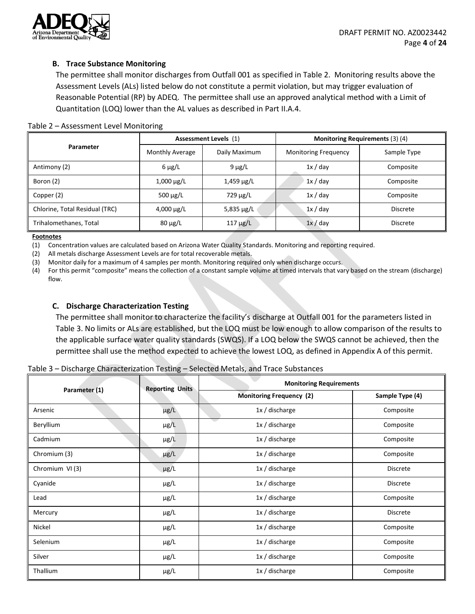

# <span id="page-3-0"></span>**B. Trace Substance Monitoring**

The permittee shall monitor discharges from Outfall 001 as specified in Table 2. Monitoring results above the Assessment Levels (ALs) listed below do not constitute a permit violation, but may trigger evaluation of Reasonable Potential (RP) by ADEQ. The permittee shall use an approved analytical method with a Limit of Quantitation (LOQ) lower than the AL values as described in Part II.A.4.

## Table 2 – Assessment Level Monitoring

|                                | Assessment Levels (1) |                 | Monitoring Requirements (3) (4) |                 |  |
|--------------------------------|-----------------------|-----------------|---------------------------------|-----------------|--|
| Parameter                      | Monthly Average       | Daily Maximum   | <b>Monitoring Frequency</b>     | Sample Type     |  |
| Antimony (2)                   | $6 \mu g/L$           | $9 \mu g/L$     | 1x / day                        | Composite       |  |
| Boron (2)                      | $1,000 \mu g/L$       | $1,459 \mu g/L$ | 1x / day                        | Composite       |  |
| Copper (2)                     | 500 $\mu$ g/L         | 729 µg/L        | 1x / day                        | Composite       |  |
| Chlorine, Total Residual (TRC) | $4,000 \mu g/L$       | 5,835 $\mu$ g/L | 1x / day                        | <b>Discrete</b> |  |
| Trihalomethanes, Total         | $80 \mu g/L$          | $117 \mu g/L$   | 1x / day                        | <b>Discrete</b> |  |

#### **Footnotes**

(1) Concentration values are calculated based on Arizona Water Quality Standards. Monitoring and reporting required.

(2) All metals discharge Assessment Levels are for total recoverable metals.

(3) Monitor daily for a maximum of 4 samples per month. Monitoring required only when discharge occurs.

(4) For this permit "composite" means the collection of a constant sample volume at timed intervals that vary based on the stream (discharge) flow.

## <span id="page-3-1"></span>**C. Discharge Characterization Testing**

The permittee shall monitor to characterize the facility's discharge at Outfall 001 for the parameters listed in Table 3. No limits or ALs are established, but the LOQ must be low enough to allow comparison of the results to the applicable surface water quality standards (SWQS). If a LOQ below the SWQS cannot be achieved, then the permittee shall use the method expected to achieve the lowest LOQ, as defined in Appendix A of this permit.

**Parameter (1) Reporting Units Monitoring Requirements Monitoring Frequency (2) Sample Type (4)** Arsenic and  $\mu$ g/L 1x / discharge Composite Beryllium **1x** / discharge Level 1x / discharge Composite Cadmium 1x / discharge 1x / discharge 2011 1x / discharge 2012 1x / discharge 2012 1x / discharge 2013 1x / discharge 2013 1x / discharge 2013 1x / discharge 2013 1x / discharge 2013 1x / discharge 2013 1x / discharge 2013 Chromium (3) Chromium (3) particle and the particle and the particle and the composite Composite Chromium VI (3) **pg/L**  $\mu$ g/L 1x / discharge **Discrete** Cyanide µg/L 1x / discharge Discrete Lead µg/L 1x / discharge Composite Mercury **1x** / discharge 1x / discharge 2013 and Discrete Nickel **1x** / discharge 1x / discharge 2011 1x / discharge 2011 1x / discharge 2012 1x / discharge 2012 1x / discharge 2012 1x / discharge 2012 1x / discharge 2012 1x / discharge 2012 1x / discharge 2012 1x / discharge 201 Selenium 1x / discharge 1x / discharge 2011 1x / discharge 2011 1x / discharge 2012 1x / discharge 2012 1x / discharge 2012 1x / discharge 2012 1x / discharge 2012 1x / discharge 2012 1x / discharge 2012 1x / discharge 201 Silver 1x / discharge 1x / discharge 2011 1x / discharge 2012 1x / discharge 2012 1x / discharge 201 Thallium µg/L 1x / discharge Composite

Table 3 – Discharge Characterization Testing – Selected Metals, and Trace Substances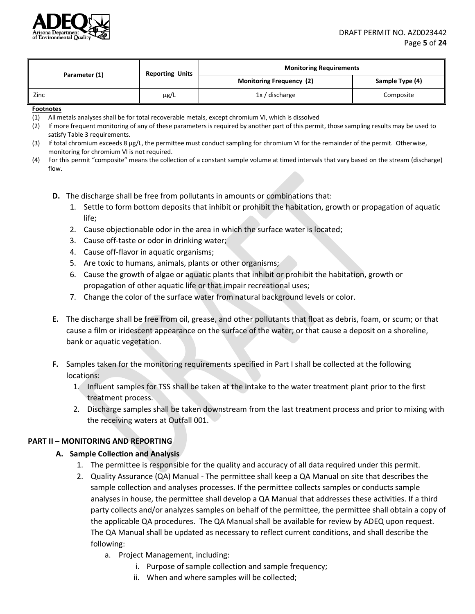

| Parameter (1) | <b>Reporting Units</b> | <b>Monitoring Requirements</b>  |                 |  |
|---------------|------------------------|---------------------------------|-----------------|--|
|               |                        | <b>Monitoring Frequency (2)</b> | Sample Type (4) |  |
| Zinc          | $\mu$ g/L              | $1x /$ discharge                | Composite       |  |

#### **Footnotes**

- (1) All metals analyses shall be for total recoverable metals, except chromium VI, which is dissolved
- (2) If more frequent monitoring of any of these parameters is required by another part of this permit, those sampling results may be used to satisfy Table 3 requirements.
- (3) If total chromium exceeds 8 µg/L, the permittee must conduct sampling for chromium VI for the remainder of the permit. Otherwise, monitoring for chromium VI is not required.
- (4) For this permit "composite" means the collection of a constant sample volume at timed intervals that vary based on the stream (discharge) flow.
	- **D.** The discharge shall be free from pollutants in amounts or combinations that:
		- 1. Settle to form bottom deposits that inhibit or prohibit the habitation, growth or propagation of aquatic life;
		- 2. Cause objectionable odor in the area in which the surface water is located;
		- 3. Cause off-taste or odor in drinking water;
		- 4. Cause off-flavor in aquatic organisms;
		- 5. Are toxic to humans, animals, plants or other organisms;
		- 6. Cause the growth of algae or aquatic plants that inhibit or prohibit the habitation, growth or propagation of other aquatic life or that impair recreational uses;
		- 7. Change the color of the surface water from natural background levels or color.
	- **E.** The discharge shall be free from oil, grease, and other pollutants that float as debris, foam, or scum; or that cause a film or iridescent appearance on the surface of the water; or that cause a deposit on a shoreline, bank or aquatic vegetation.
	- **F.** Samples taken for the monitoring requirements specified in Part I shall be collected at the following locations:
		- 1. Influent samples for TSS shall be taken at the intake to the water treatment plant prior to the first treatment process.
		- 2. Discharge samples shall be taken downstream from the last treatment process and prior to mixing with the receiving waters at Outfall 001.

## <span id="page-4-1"></span><span id="page-4-0"></span>**PART II – MONITORING AND REPORTING**

## **A. Sample Collection and Analysis**

- 1. The permittee is responsible for the quality and accuracy of all data required under this permit.
- 2. Quality Assurance (QA) Manual The permittee shall keep a QA Manual on site that describes the sample collection and analyses processes. If the permittee collects samples or conducts sample analyses in house, the permittee shall develop a QA Manual that addresses these activities. If a third party collects and/or analyzes samples on behalf of the permittee, the permittee shall obtain a copy of the applicable QA procedures. The QA Manual shall be available for review by ADEQ upon request. The QA Manual shall be updated as necessary to reflect current conditions, and shall describe the following:
	- a. Project Management, including:
		- i. Purpose of sample collection and sample frequency;
		- ii. When and where samples will be collected;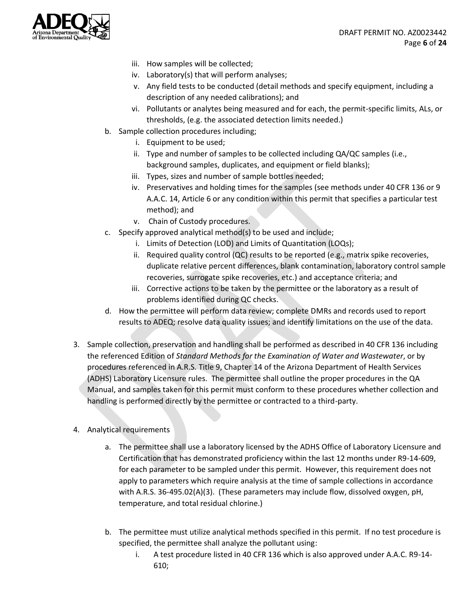

- iii. How samples will be collected;
- iv. Laboratory(s) that will perform analyses;
- v. Any field tests to be conducted (detail methods and specify equipment, including a description of any needed calibrations); and
- vi. Pollutants or analytes being measured and for each, the permit-specific limits, ALs, or thresholds, (e.g. the associated detection limits needed.)
- b. Sample collection procedures including;
	- i. Equipment to be used;
	- ii. Type and number of samples to be collected including QA/QC samples (i.e., background samples, duplicates, and equipment or field blanks);
	- iii. Types, sizes and number of sample bottles needed;
	- iv. Preservatives and holding times for the samples (see methods under 40 CFR 136 or 9 A.A.C. 14, Article 6 or any condition within this permit that specifies a particular test method); and
	- v. Chain of Custody procedures.
- c. Specify approved analytical method(s) to be used and include;
	- i. Limits of Detection (LOD) and Limits of Quantitation (LOQs);
	- ii. Required quality control (QC) results to be reported (e.g., matrix spike recoveries, duplicate relative percent differences, blank contamination, laboratory control sample recoveries, surrogate spike recoveries, etc.) and acceptance criteria; and
	- iii. Corrective actions to be taken by the permittee or the laboratory as a result of problems identified during QC checks.
- d. How the permittee will perform data review; complete DMRs and records used to report results to ADEQ; resolve data quality issues; and identify limitations on the use of the data.
- 3. Sample collection, preservation and handling shall be performed as described in 40 CFR 136 including the referenced Edition of *Standard Methods for the Examination of Water and Wastewater*, or by procedures referenced in A.R.S. Title 9, Chapter 14 of the Arizona Department of Health Services (ADHS) Laboratory Licensure rules. The permittee shall outline the proper procedures in the QA Manual, and samples taken for this permit must conform to these procedures whether collection and handling is performed directly by the permittee or contracted to a third-party.
- 4. Analytical requirements
	- a. The permittee shall use a laboratory licensed by the ADHS Office of Laboratory Licensure and Certification that has demonstrated proficiency within the last 12 months under R9-14-609, for each parameter to be sampled under this permit. However, this requirement does not apply to parameters which require analysis at the time of sample collections in accordance with A.R.S. 36-495.02(A)(3). (These parameters may include flow, dissolved oxygen, pH, temperature, and total residual chlorine.)
	- b. The permittee must utilize analytical methods specified in this permit. If no test procedure is specified, the permittee shall analyze the pollutant using:
		- i. A test procedure listed in 40 CFR 136 which is also approved under A.A.C. R9-14- 610;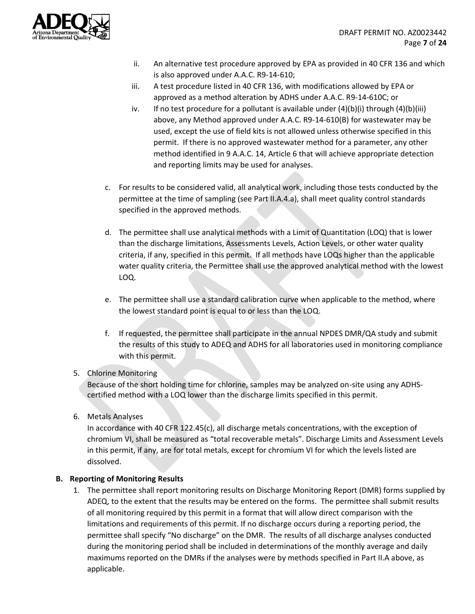

- ii. An alternative test procedure approved by EPA as provided in 40 CFR 136 and which is also approved under A.A.C. R9-14-610;
- iii. A test procedure listed in 40 CFR 136, with modifications allowed by EPA or approved as a method alteration by ADHS under A.A.C. R9-14-610C; or
- iv. If no test procedure for a pollutant is available under  $(4)(b)(i)$  through  $(4)(b)(iii)$ above, any Method approved under A.A.C. R9-14-610(B) for wastewater may be used, except the use of field kits is not allowed unless otherwise specified in this permit. If there is no approved wastewater method for a parameter, any other method identified in 9 A.A.C. 14, Article 6 that will achieve appropriate detection and reporting limits may be used for analyses.
- c. For results to be considered valid, all analytical work, including those tests conducted by the permittee at the time of sampling (see Part II.A.4.a), shall meet quality control standards specified in the approved methods.
- d. The permittee shall use analytical methods with a Limit of Quantitation (LOQ) that is lower than the discharge limitations, Assessments Levels, Action Levels, or other water quality criteria, if any, specified in this permit. If all methods have LOQs higher than the applicable water quality criteria, the Permittee shall use the approved analytical method with the lowest LOQ.
- e. The permittee shall use a standard calibration curve when applicable to the method, where the lowest standard point is equal to or less than the LOQ.
- f. If requested, the permittee shall participate in the annual NPDES DMR/QA study and submit the results of this study to ADEQ and ADHS for all laboratories used in monitoring compliance with this permit.

# 5. Chlorine Monitoring

Because of the short holding time for chlorine, samples may be analyzed on-site using any ADHScertified method with a LOQ lower than the discharge limits specified in this permit.

6. Metals Analyses

In accordance with 40 CFR 122.45(c), all discharge metals concentrations, with the exception of chromium VI, shall be measured as "total recoverable metals". Discharge Limits and Assessment Levels in this permit, if any, are for total metals, except for chromium VI for which the levels listed are dissolved.

# <span id="page-6-0"></span>**B. Reporting of Monitoring Results**

1. The permittee shall report monitoring results on Discharge Monitoring Report (DMR) forms supplied by ADEQ, to the extent that the results may be entered on the forms. The permittee shall submit results of all monitoring required by this permit in a format that will allow direct comparison with the limitations and requirements of this permit. If no discharge occurs during a reporting period, the permittee shall specify "No discharge" on the DMR. The results of all discharge analyses conducted during the monitoring period shall be included in determinations of the monthly average and daily maximums reported on the DMRs if the analyses were by methods specified in Part II.A above, as applicable.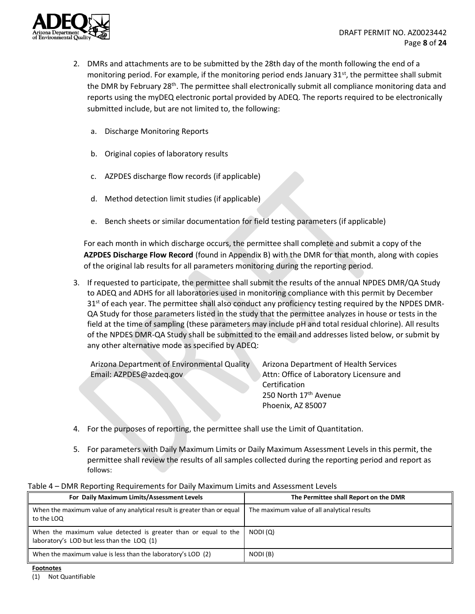

- 2. DMRs and attachments are to be submitted by the 28th day of the month following the end of a monitoring period. For example, if the monitoring period ends January  $31<sup>st</sup>$ , the permittee shall submit the DMR by February 28<sup>th</sup>. The permittee shall electronically submit all compliance monitoring data and reports using the myDEQ electronic portal provided by ADEQ. The reports required to be electronically submitted include, but are not limited to, the following:
	- a. Discharge Monitoring Reports
	- b. Original copies of laboratory results
	- c. AZPDES discharge flow records (if applicable)
	- d. Method detection limit studies (if applicable)
	- e. Bench sheets or similar documentation for field testing parameters (if applicable)

For each month in which discharge occurs, the permittee shall complete and submit a copy of the **AZPDES Discharge Flow Record** (found in Appendix B) with the DMR for that month, along with copies of the original lab results for all parameters monitoring during the reporting period.

3. If requested to participate, the permittee shall submit the results of the annual NPDES DMR/QA Study to ADEQ and ADHS for all laboratories used in monitoring compliance with this permit by December  $31<sup>st</sup>$  of each year. The permittee shall also conduct any proficiency testing required by the NPDES DMR-QA Study for those parameters listed in the study that the permittee analyzes in house or tests in the field at the time of sampling (these parameters may include pH and total residual chlorine). All results of the NPDES DMR-QA Study shall be submitted to the email and addresses listed below, or submit by any other alternative mode as specified by ADEQ:

Arizona Department of Environmental Quality Email: AZPDES@azdeq.gov

Arizona Department of Health Services Attn: Office of Laboratory Licensure and Certification 250 North 17<sup>th</sup> Avenue Phoenix, AZ 85007

- 4. For the purposes of reporting, the permittee shall use the Limit of Quantitation.
- 5. For parameters with Daily Maximum Limits or Daily Maximum Assessment Levels in this permit, the permittee shall review the results of all samples collected during the reporting period and report as follows:

| For Daily Maximum Limits/Assessment Levels                                                                    | The Permittee shall Report on the DMR       |
|---------------------------------------------------------------------------------------------------------------|---------------------------------------------|
| When the maximum value of any analytical result is greater than or equal<br>to the LOQ                        | The maximum value of all analytical results |
| When the maximum value detected is greater than or equal to the<br>laboratory's LOD but less than the LOQ (1) | NODI(Q)                                     |
| When the maximum value is less than the laboratory's LOD $(2)$                                                | NODI (B)                                    |

#### Table 4 – DMR Reporting Requirements for Daily Maximum Limits and Assessment Levels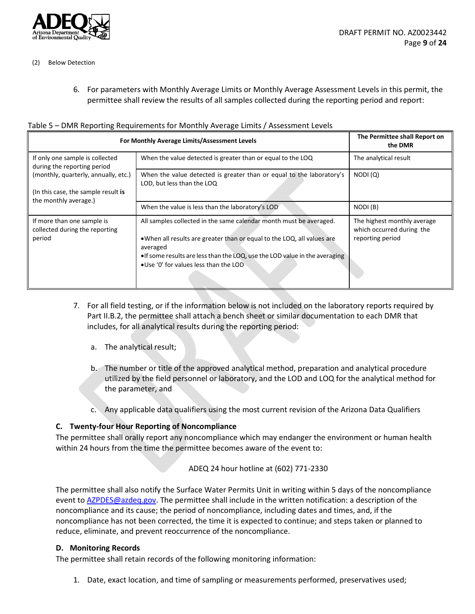

- (2) Below Detection
	- 6. For parameters with Monthly Average Limits or Monthly Average Assessment Levels in this permit, the permittee shall review the results of all samples collected during the reporting period and report:

|  | Table 5 - DMR Reporting Requirements for Monthly Average Limits / Assessment Levels |  |
|--|-------------------------------------------------------------------------------------|--|
|  |                                                                                     |  |

| For Monthly Average Limits/Assessment Levels                                | The Permittee shall Report on<br>the DMR                                                                                                                                                                                                                                           |                                                                              |
|-----------------------------------------------------------------------------|------------------------------------------------------------------------------------------------------------------------------------------------------------------------------------------------------------------------------------------------------------------------------------|------------------------------------------------------------------------------|
| If only one sample is collected<br>during the reporting period              | When the value detected is greater than or equal to the LOQ                                                                                                                                                                                                                        | The analytical result                                                        |
| (monthly, quarterly, annually, etc.)<br>(In this case, the sample result is | When the value detected is greater than or equal to the laboratory's<br>LOD, but less than the LOQ                                                                                                                                                                                 | NODI(Q)                                                                      |
| the monthly average.)                                                       | When the value is less than the laboratory's LOD                                                                                                                                                                                                                                   | NODI(B)                                                                      |
| If more than one sample is<br>collected during the reporting<br>period      | All samples collected in the same calendar month must be averaged.<br>• When all results are greater than or equal to the LOQ, all values are<br>averaged<br>• If some results are less than the LOQ, use the LOD value in the averaging<br>● Use '0' for values less than the LOD | The highest monthly average<br>which occurred during the<br>reporting period |

- 7. For all field testing, or if the information below is not included on the laboratory reports required by Part II.B.2, the permittee shall attach a bench sheet or similar documentation to each DMR that includes, for all analytical results during the reporting period:
	- a. The analytical result;
	- b. The number or title of the approved analytical method, preparation and analytical procedure utilized by the field personnel or laboratory, and the LOD and LOQ for the analytical method for the parameter, and
	- c. Any applicable data qualifiers using the most current revision of the Arizona Data Qualifiers

# <span id="page-8-0"></span>**C. Twenty-four Hour Reporting of Noncompliance**

The permittee shall orally report any noncompliance which may endanger the environment or human health within 24 hours from the time the permittee becomes aware of the event to:

ADEQ 24 hour hotline at (602) 771-2330

The permittee shall also notify the Surface Water Permits Unit in writing within 5 days of the noncompliance event to [AZPDES@azdeq.gov.](mailto:AZPDES@azdeq.gov) The permittee shall include in the written notification: a description of the noncompliance and its cause; the period of noncompliance, including dates and times, and, if the noncompliance has not been corrected, the time it is expected to continue; and steps taken or planned to reduce, eliminate, and prevent reoccurrence of the noncompliance.

## <span id="page-8-1"></span>**D. Monitoring Records**

The permittee shall retain records of the following monitoring information:

1. Date, exact location, and time of sampling or measurements performed, preservatives used;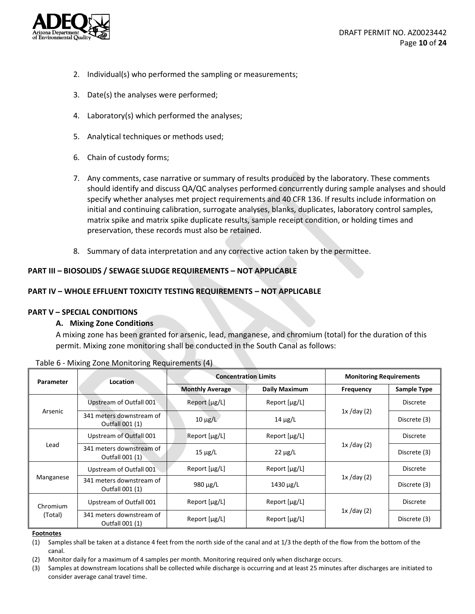

- 2. Individual(s) who performed the sampling or measurements;
- 3. Date(s) the analyses were performed;
- 4. Laboratory(s) which performed the analyses;
- 5. Analytical techniques or methods used;
- 6. Chain of custody forms;
- 7. Any comments, case narrative or summary of results produced by the laboratory. These comments should identify and discuss QA/QC analyses performed concurrently during sample analyses and should specify whether analyses met project requirements and 40 CFR 136. If results include information on initial and continuing calibration, surrogate analyses, blanks, duplicates, laboratory control samples, matrix spike and matrix spike duplicate results, sample receipt condition, or holding times and preservation, these records must also be retained.
- 8. Summary of data interpretation and any corrective action taken by the permittee.

## **PART III – BIOSOLIDS / SEWAGE SLUDGE REQUIREMENTS – NOT APPLICABLE**

## **PART IV – WHOLE EFFLUENT TOXICITY TESTING REQUIREMENTS – NOT APPLICABLE**

## <span id="page-9-0"></span>**PART V – SPECIAL CONDITIONS**

## **A. Mixing Zone Conditions**

A mixing zone has been granted for arsenic, lead, manganese, and chromium (total) for the duration of this permit. Mixing zone monitoring shall be conducted in the South Canal as follows:

| Parameter | <b>Location</b>                             |                        | <b>Concentration Limits</b> | <b>Monitoring Requirements</b> |                    |
|-----------|---------------------------------------------|------------------------|-----------------------------|--------------------------------|--------------------|
|           |                                             | <b>Monthly Average</b> | Daily Maximum               | Frequency                      | <b>Sample Type</b> |
|           | Upstream of Outfall 001                     | Report [µg/L]          | Report $[\mu g/L]$          |                                | Discrete           |
| Arsenic   | 341 meters downstream of<br>Outfall 001 (1) | $10 \mu g/L$           | $14 \mu g/L$                | $1x$ /day (2)                  | Discrete (3)       |
|           | Upstream of Outfall 001                     | Report [µg/L]          | Report [µg/L]               |                                | <b>Discrete</b>    |
| Lead      | 341 meters downstream of<br>Outfall 001 (1) | $15 \mu g/L$           | $22 \mu g/L$                | $1x$ /day (2)                  | Discrete (3)       |
|           | Upstream of Outfall 001                     | Report [µg/L]          | Report [µg/L]               |                                | Discrete           |
| Manganese | 341 meters downstream of<br>Outfall 001 (1) | 980 µg/L               | 1430 $\mu$ g/L              | $1x$ /day (2)                  | Discrete (3)       |
| Chromium  | Upstream of Outfall 001                     | Report $[\mu g/L]$     | Report $[\mu g/L]$          |                                | <b>Discrete</b>    |
| (Total)   | 341 meters downstream of<br>Outfall 001 (1) | Report $[\mu g/L]$     | Report $[\mu g/L]$          | $1x$ /day (2)                  | Discrete (3)       |

| Table 6 - Mixing Zone Monitoring Requirements (4) |  |  |  |  |
|---------------------------------------------------|--|--|--|--|
|---------------------------------------------------|--|--|--|--|

**Footnotes**

(1) Samples shall be taken at a distance 4 feet from the north side of the canal and at 1/3 the depth of the flow from the bottom of the canal.

(2) Monitor daily for a maximum of 4 samples per month. Monitoring required only when discharge occurs.

(3) Samples at downstream locations shall be collected while discharge is occurring and at least 25 minutes after discharges are initiated to consider average canal travel time.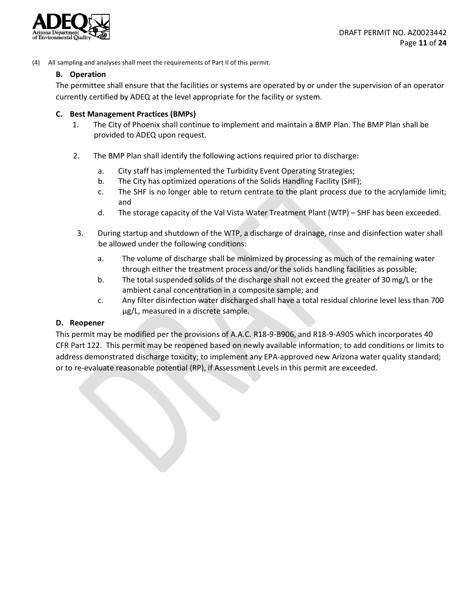

(4) All sampling and analyses shall meet the requirements of Part II of this permit.

## **B. Operation**

The permittee shall ensure that the facilities or systems are operated by or under the supervision of an operator currently certified by ADEQ at the level appropriate for the facility or system.

## **C. Best Management Practices (BMPs)**

- 1. The City of Phoenix shall continue to implement and maintain a BMP Plan. The BMP Plan shall be provided to ADEQ upon request.
- 2. The BMP Plan shall identify the following actions required prior to discharge:
	- a. City staff has implemented the Turbidity Event Operating Strategies;
	- b. The City has optimized operations of the Solids Handling Facility (SHF);
	- c. The SHF is no longer able to return centrate to the plant process due to the acrylamide limit; and
	- d. The storage capacity of the Val Vista Water Treatment Plant (WTP) SHF has been exceeded.
- 3. During startup and shutdown of the WTP, a discharge of drainage, rinse and disinfection water shall be allowed under the following conditions:
	- a. The volume of discharge shall be minimized by processing as much of the remaining water through either the treatment process and/or the solids handling facilities as possible;
	- b. The total suspended solids of the discharge shall not exceed the greater of 30 mg/L or the ambient canal concentration in a composite sample; and
	- c. Any filter disinfection water discharged shall have a total residual chlorine level less than 700 μg/L, measured in a discrete sample.

## <span id="page-10-0"></span>**D. Reopener**

This permit may be modified per the provisions of A.A.C. R18-9-B906, and R18-9-A905 which incorporates 40 CFR Part 122. This permit may be reopened based on newly available information; to add conditions or limits to address demonstrated discharge toxicity; to implement any EPA-approved new Arizona water quality standard; or to re-evaluate reasonable potential (RP), if Assessment Levels in this permit are exceeded.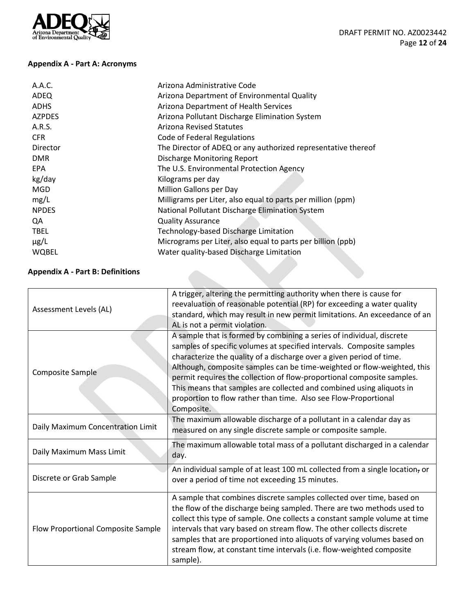

# <span id="page-11-0"></span>**Appendix A - Part A: Acronyms**

| Arizona Administrative Code                                   |
|---------------------------------------------------------------|
| Arizona Department of Environmental Quality                   |
| Arizona Department of Health Services                         |
| Arizona Pollutant Discharge Elimination System                |
| <b>Arizona Revised Statutes</b>                               |
| Code of Federal Regulations                                   |
| The Director of ADEQ or any authorized representative thereof |
| Discharge Monitoring Report                                   |
| The U.S. Environmental Protection Agency                      |
| Kilograms per day                                             |
| Million Gallons per Day                                       |
| Milligrams per Liter, also equal to parts per million (ppm)   |
| National Pollutant Discharge Elimination System               |
| <b>Quality Assurance</b>                                      |
| Technology-based Discharge Limitation                         |
| Micrograms per Liter, also equal to parts per billion (ppb)   |
| Water quality-based Discharge Limitation                      |
|                                                               |

# <span id="page-11-1"></span>**Appendix A - Part B: Definitions**

| Assessment Levels (AL)                                                                                                                                                                                                                                                                                                                                                                                                                                                                                       | A trigger, altering the permitting authority when there is cause for<br>reevaluation of reasonable potential (RP) for exceeding a water quality<br>standard, which may result in new permit limitations. An exceedance of an<br>AL is not a permit violation.                                                                                                                                                                                                                                                                        |  |
|--------------------------------------------------------------------------------------------------------------------------------------------------------------------------------------------------------------------------------------------------------------------------------------------------------------------------------------------------------------------------------------------------------------------------------------------------------------------------------------------------------------|--------------------------------------------------------------------------------------------------------------------------------------------------------------------------------------------------------------------------------------------------------------------------------------------------------------------------------------------------------------------------------------------------------------------------------------------------------------------------------------------------------------------------------------|--|
| Composite Sample                                                                                                                                                                                                                                                                                                                                                                                                                                                                                             | A sample that is formed by combining a series of individual, discrete<br>samples of specific volumes at specified intervals. Composite samples<br>characterize the quality of a discharge over a given period of time.<br>Although, composite samples can be time-weighted or flow-weighted, this<br>permit requires the collection of flow-proportional composite samples.<br>This means that samples are collected and combined using aliquots in<br>proportion to flow rather than time. Also see Flow-Proportional<br>Composite. |  |
| Daily Maximum Concentration Limit                                                                                                                                                                                                                                                                                                                                                                                                                                                                            | The maximum allowable discharge of a pollutant in a calendar day as<br>measured on any single discrete sample or composite sample.                                                                                                                                                                                                                                                                                                                                                                                                   |  |
| Daily Maximum Mass Limit                                                                                                                                                                                                                                                                                                                                                                                                                                                                                     | The maximum allowable total mass of a pollutant discharged in a calendar<br>day.                                                                                                                                                                                                                                                                                                                                                                                                                                                     |  |
| Discrete or Grab Sample                                                                                                                                                                                                                                                                                                                                                                                                                                                                                      | An individual sample of at least 100 mL collected from a single location, or<br>over a period of time not exceeding 15 minutes.                                                                                                                                                                                                                                                                                                                                                                                                      |  |
| A sample that combines discrete samples collected over time, based on<br>the flow of the discharge being sampled. There are two methods used to<br>collect this type of sample. One collects a constant sample volume at time<br>Flow Proportional Composite Sample<br>intervals that vary based on stream flow. The other collects discrete<br>samples that are proportioned into aliquots of varying volumes based on<br>stream flow, at constant time intervals (i.e. flow-weighted composite<br>sample). |                                                                                                                                                                                                                                                                                                                                                                                                                                                                                                                                      |  |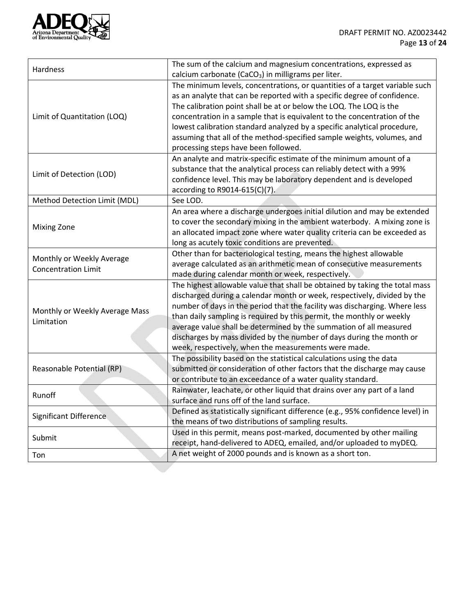

|                                                         | The sum of the calcium and magnesium concentrations, expressed as               |  |
|---------------------------------------------------------|---------------------------------------------------------------------------------|--|
| Hardness                                                | calcium carbonate (CaCO <sub>3</sub> ) in milligrams per liter.                 |  |
|                                                         | The minimum levels, concentrations, or quantities of a target variable such     |  |
|                                                         | as an analyte that can be reported with a specific degree of confidence.        |  |
|                                                         | The calibration point shall be at or below the LOQ. The LOQ is the              |  |
| Limit of Quantitation (LOQ)                             | concentration in a sample that is equivalent to the concentration of the        |  |
|                                                         | lowest calibration standard analyzed by a specific analytical procedure,        |  |
|                                                         | assuming that all of the method-specified sample weights, volumes, and          |  |
|                                                         | processing steps have been followed.                                            |  |
|                                                         | An analyte and matrix-specific estimate of the minimum amount of a              |  |
| Limit of Detection (LOD)                                | substance that the analytical process can reliably detect with a 99%            |  |
|                                                         | confidence level. This may be laboratory dependent and is developed             |  |
|                                                         | according to R9014-615(C)(7).                                                   |  |
| Method Detection Limit (MDL)                            | See LOD.                                                                        |  |
|                                                         | An area where a discharge undergoes initial dilution and may be extended        |  |
| <b>Mixing Zone</b>                                      | to cover the secondary mixing in the ambient waterbody. A mixing zone is        |  |
|                                                         | an allocated impact zone where water quality criteria can be exceeded as        |  |
|                                                         | long as acutely toxic conditions are prevented.                                 |  |
| Monthly or Weekly Average<br><b>Concentration Limit</b> | Other than for bacteriological testing, means the highest allowable             |  |
|                                                         | average calculated as an arithmetic mean of consecutive measurements            |  |
|                                                         | made during calendar month or week, respectively.                               |  |
|                                                         | The highest allowable value that shall be obtained by taking the total mass     |  |
|                                                         | discharged during a calendar month or week, respectively, divided by the        |  |
| Monthly or Weekly Average Mass                          | number of days in the period that the facility was discharging. Where less      |  |
| Limitation                                              | than daily sampling is required by this permit, the monthly or weekly           |  |
|                                                         | average value shall be determined by the summation of all measured              |  |
|                                                         | discharges by mass divided by the number of days during the month or            |  |
|                                                         | week, respectively, when the measurements were made.                            |  |
|                                                         | The possibility based on the statistical calculations using the data            |  |
| Reasonable Potential (RP)                               | submitted or consideration of other factors that the discharge may cause        |  |
|                                                         | or contribute to an exceedance of a water quality standard.                     |  |
| Runoff                                                  | Rainwater, leachate, or other liquid that drains over any part of a land        |  |
|                                                         | surface and runs off of the land surface.                                       |  |
| <b>Significant Difference</b>                           | Defined as statistically significant difference (e.g., 95% confidence level) in |  |
|                                                         | the means of two distributions of sampling results.                             |  |
| Submit                                                  | Used in this permit, means post-marked, documented by other mailing             |  |
|                                                         | receipt, hand-delivered to ADEQ, emailed, and/or uploaded to myDEQ.             |  |
| Ton                                                     | A net weight of 2000 pounds and is known as a short ton.                        |  |
|                                                         |                                                                                 |  |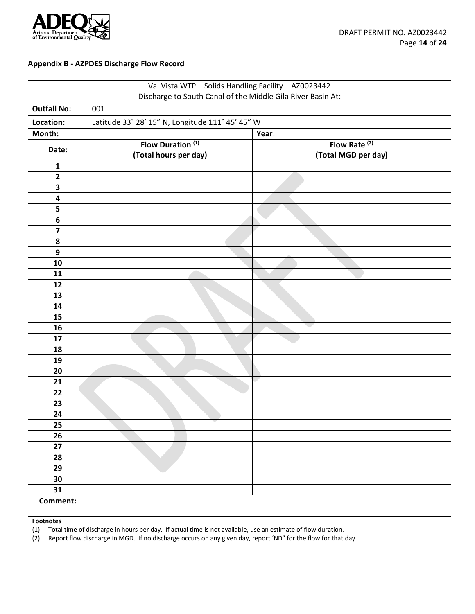

### <span id="page-13-0"></span>**Appendix B - AZPDES Discharge Flow Record**

| Val Vista WTP - Solids Handling Facility - AZ0023442        |                                                       |                                                 |  |
|-------------------------------------------------------------|-------------------------------------------------------|-------------------------------------------------|--|
| Discharge to South Canal of the Middle Gila River Basin At: |                                                       |                                                 |  |
| <b>Outfall No:</b>                                          | 001                                                   |                                                 |  |
| Location:                                                   | Latitude 33° 28' 15" N, Longitude 111° 45' 45" W      |                                                 |  |
| Month:                                                      |                                                       | Year:                                           |  |
| Date:                                                       | Flow Duration <sup>(1)</sup><br>(Total hours per day) | Flow Rate <sup>(2)</sup><br>(Total MGD per day) |  |
| $\mathbf 1$                                                 |                                                       |                                                 |  |
| $\mathbf{2}$                                                |                                                       |                                                 |  |
| $\overline{\mathbf{3}}$                                     |                                                       |                                                 |  |
| 4                                                           |                                                       |                                                 |  |
| 5                                                           |                                                       |                                                 |  |
| $\bf 6$                                                     |                                                       | $\sim$                                          |  |
| $\overline{\mathbf{z}}$                                     |                                                       |                                                 |  |
| ${\bf 8}$                                                   |                                                       |                                                 |  |
| $\boldsymbol{9}$                                            |                                                       |                                                 |  |
| 10                                                          |                                                       |                                                 |  |
| 11                                                          |                                                       |                                                 |  |
| 12                                                          |                                                       |                                                 |  |
| 13                                                          |                                                       |                                                 |  |
| 14                                                          |                                                       |                                                 |  |
| 15                                                          |                                                       |                                                 |  |
| 16                                                          |                                                       |                                                 |  |
| 17                                                          |                                                       |                                                 |  |
| 18                                                          |                                                       |                                                 |  |
| 19                                                          |                                                       |                                                 |  |
| 20                                                          |                                                       |                                                 |  |
| 21                                                          |                                                       |                                                 |  |
| 22                                                          |                                                       |                                                 |  |
| 23                                                          |                                                       |                                                 |  |
| 24                                                          |                                                       |                                                 |  |
| 25                                                          |                                                       |                                                 |  |
| 26                                                          |                                                       |                                                 |  |
| 27                                                          |                                                       |                                                 |  |
| 28                                                          |                                                       |                                                 |  |
| 29                                                          |                                                       |                                                 |  |
| 30                                                          |                                                       |                                                 |  |
| 31                                                          |                                                       |                                                 |  |
| Comment:                                                    |                                                       |                                                 |  |

**Footnotes**

(1) Total time of discharge in hours per day. If actual time is not available, use an estimate of flow duration.

(2) Report flow discharge in MGD. If no discharge occurs on any given day, report 'ND" for the flow for that day.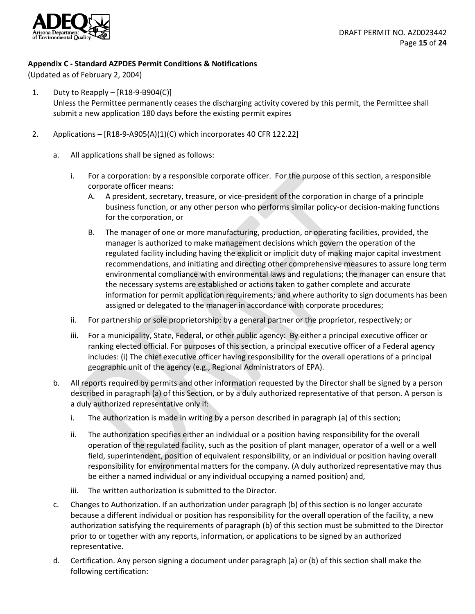

# <span id="page-14-0"></span>**Appendix C - Standard AZPDES Permit Conditions & Notifications**

(Updated as of February 2, 2004)

- 1. Duty to Reapply [R18-9-B904(C)] Unless the Permittee permanently ceases the discharging activity covered by this permit, the Permittee shall submit a new application 180 days before the existing permit expires
- 2. Applications [R18-9-A905(A)(1)(C) which incorporates 40 CFR 122.22]
	- a. All applications shall be signed as follows:
		- i. For a corporation: by a responsible corporate officer. For the purpose of this section, a responsible corporate officer means:
			- A. A president, secretary, treasure, or vice-president of the corporation in charge of a principle business function, or any other person who performs similar policy-or decision-making functions for the corporation, or
			- B. The manager of one or more manufacturing, production, or operating facilities, provided, the manager is authorized to make management decisions which govern the operation of the regulated facility including having the explicit or implicit duty of making major capital investment recommendations, and initiating and directing other comprehensive measures to assure long term environmental compliance with environmental laws and regulations; the manager can ensure that the necessary systems are established or actions taken to gather complete and accurate information for permit application requirements; and where authority to sign documents has been assigned or delegated to the manager in accordance with corporate procedures;
		- ii. For partnership or sole proprietorship: by a general partner or the proprietor, respectively; or
		- iii. For a municipality, State, Federal, or other public agency: By either a principal executive officer or ranking elected official. For purposes of this section, a principal executive officer of a Federal agency includes: (i) The chief executive officer having responsibility for the overall operations of a principal geographic unit of the agency (e.g., Regional Administrators of EPA).
	- b. All reports required by permits and other information requested by the Director shall be signed by a person described in paragraph (a) of this Section, or by a duly authorized representative of that person. A person is a duly authorized representative only if:
		- i. The authorization is made in writing by a person described in paragraph (a) of this section;
		- ii. The authorization specifies either an individual or a position having responsibility for the overall operation of the regulated facility, such as the position of plant manager, operator of a well or a well field, superintendent, position of equivalent responsibility, or an individual or position having overall responsibility for environmental matters for the company. (A duly authorized representative may thus be either a named individual or any individual occupying a named position) and,
		- iii. The written authorization is submitted to the Director.
	- c. Changes to Authorization. If an authorization under paragraph (b) of this section is no longer accurate because a different individual or position has responsibility for the overall operation of the facility, a new authorization satisfying the requirements of paragraph (b) of this section must be submitted to the Director prior to or together with any reports, information, or applications to be signed by an authorized representative.
	- d. Certification. Any person signing a document under paragraph (a) or (b) of this section shall make the following certification: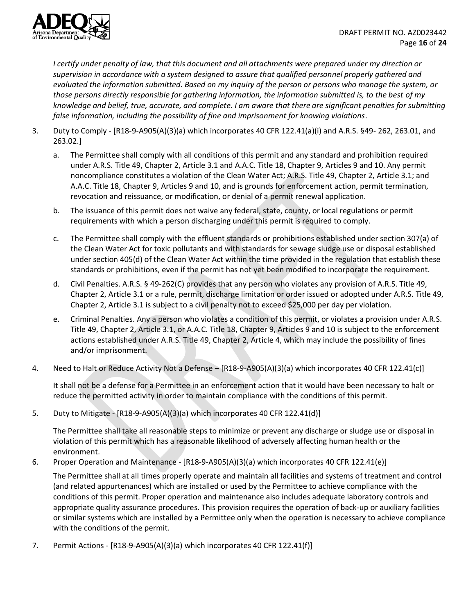

*I certify under penalty of law, that this document and all attachments were prepared under my direction or supervision in accordance with a system designed to assure that qualified personnel properly gathered and evaluated the information submitted. Based on my inquiry of the person or persons who manage the system, or those persons directly responsible for gathering information, the information submitted is, to the best of my knowledge and belief, true, accurate, and complete. I am aware that there are significant penalties for submitting false information, including the possibility of fine and imprisonment for knowing violations*.

- 3. Duty to Comply [R18-9-A905(A)(3)(a) which incorporates 40 CFR 122.41(a)(i) and A.R.S. §49- 262, 263.01, and 263.02.]
	- a. The Permittee shall comply with all conditions of this permit and any standard and prohibition required under A.R.S. Title 49, Chapter 2, Article 3.1 and A.A.C. Title 18, Chapter 9, Articles 9 and 10. Any permit noncompliance constitutes a violation of the Clean Water Act; A.R.S. Title 49, Chapter 2, Article 3.1; and A.A.C. Title 18, Chapter 9, Articles 9 and 10, and is grounds for enforcement action, permit termination, revocation and reissuance, or modification, or denial of a permit renewal application.
	- b. The issuance of this permit does not waive any federal, state, county, or local regulations or permit requirements with which a person discharging under this permit is required to comply.
	- c. The Permittee shall comply with the effluent standards or prohibitions established under section 307(a) of the Clean Water Act for toxic pollutants and with standards for sewage sludge use or disposal established under section 405(d) of the Clean Water Act within the time provided in the regulation that establish these standards or prohibitions, even if the permit has not yet been modified to incorporate the requirement.
	- d. Civil Penalties. A.R.S. § 49-262(C) provides that any person who violates any provision of A.R.S. Title 49, Chapter 2, Article 3.1 or a rule, permit, discharge limitation or order issued or adopted under A.R.S. Title 49, Chapter 2, Article 3.1 is subject to a civil penalty not to exceed \$25,000 per day per violation.
	- e. Criminal Penalties. Any a person who violates a condition of this permit, or violates a provision under A.R.S. Title 49, Chapter 2, Article 3.1, or A.A.C. Title 18, Chapter 9, Articles 9 and 10 is subject to the enforcement actions established under A.R.S. Title 49, Chapter 2, Article 4, which may include the possibility of fines and/or imprisonment.
- 4. Need to Halt or Reduce Activity Not a Defense [R18-9-A905(A)(3)(a) which incorporates 40 CFR 122.41(c)]

It shall not be a defense for a Permittee in an enforcement action that it would have been necessary to halt or reduce the permitted activity in order to maintain compliance with the conditions of this permit.

5. Duty to Mitigate - [R18-9-A905(A)(3)(a) which incorporates 40 CFR 122.41(d)]

The Permittee shall take all reasonable steps to minimize or prevent any discharge or sludge use or disposal in violation of this permit which has a reasonable likelihood of adversely affecting human health or the environment.

6. Proper Operation and Maintenance - [R18-9-A905(A)(3)(a) which incorporates 40 CFR 122.41(e)]

The Permittee shall at all times properly operate and maintain all facilities and systems of treatment and control (and related appurtenances) which are installed or used by the Permittee to achieve compliance with the conditions of this permit. Proper operation and maintenance also includes adequate laboratory controls and appropriate quality assurance procedures. This provision requires the operation of back-up or auxiliary facilities or similar systems which are installed by a Permittee only when the operation is necessary to achieve compliance with the conditions of the permit.

7. Permit Actions - [R18-9-A905(A)(3)(a) which incorporates 40 CFR 122.41(f)]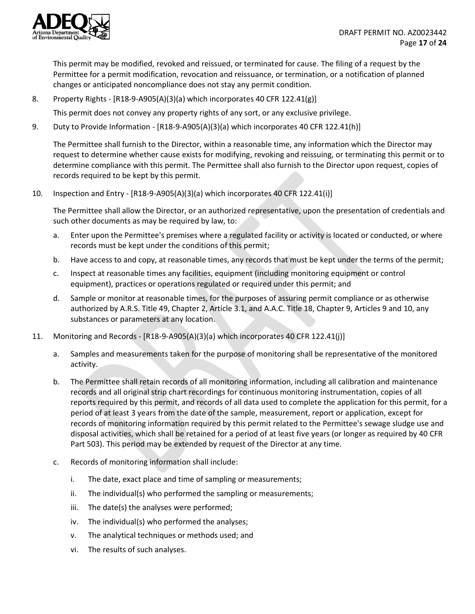

This permit may be modified, revoked and reissued, or terminated for cause. The filing of a request by the Permittee for a permit modification, revocation and reissuance, or termination, or a notification of planned changes or anticipated noncompliance does not stay any permit condition.

8. Property Rights - [R18-9-A905(A)(3)(a) which incorporates 40 CFR 122.41(g)]

This permit does not convey any property rights of any sort, or any exclusive privilege.

9. Duty to Provide Information - [R18-9-A905(A)(3)(a) which incorporates 40 CFR 122.41(h)]

The Permittee shall furnish to the Director, within a reasonable time, any information which the Director may request to determine whether cause exists for modifying, revoking and reissuing, or terminating this permit or to determine compliance with this permit. The Permittee shall also furnish to the Director upon request, copies of records required to be kept by this permit.

10. Inspection and Entry - [R18-9-A905(A)(3)(a) which incorporates 40 CFR 122.41(i)]

The Permittee shall allow the Director, or an authorized representative, upon the presentation of credentials and such other documents as may be required by law, to:

- a. Enter upon the Permittee's premises where a regulated facility or activity is located or conducted, or where records must be kept under the conditions of this permit;
- b. Have access to and copy, at reasonable times, any records that must be kept under the terms of the permit;
- c. Inspect at reasonable times any facilities, equipment (including monitoring equipment or control equipment), practices or operations regulated or required under this permit; and
- d. Sample or monitor at reasonable times, for the purposes of assuring permit compliance or as otherwise authorized by A.R.S. Title 49, Chapter 2, Article 3.1, and A.A.C. Title 18, Chapter 9, Articles 9 and 10, any substances or parameters at any location.
- 11. Monitoring and Records [R18-9-A905(A)(3)(a) which incorporates 40 CFR 122.41(j)]
	- a. Samples and measurements taken for the purpose of monitoring shall be representative of the monitored activity.
	- b. The Permittee shall retain records of all monitoring information, including all calibration and maintenance records and all original strip chart recordings for continuous monitoring instrumentation, copies of all reports required by this permit, and records of all data used to complete the application for this permit, for a period of at least 3 years from the date of the sample, measurement, report or application, except for records of monitoring information required by this permit related to the Permittee's sewage sludge use and disposal activities, which shall be retained for a period of at least five years (or longer as required by 40 CFR Part 503). This period may be extended by request of the Director at any time.
	- c. Records of monitoring information shall include:
		- i. The date, exact place and time of sampling or measurements;
		- ii. The individual(s) who performed the sampling or measurements;
		- iii. The date(s) the analyses were performed;
		- iv. The individual(s) who performed the analyses;
		- v. The analytical techniques or methods used; and
		- vi. The results of such analyses.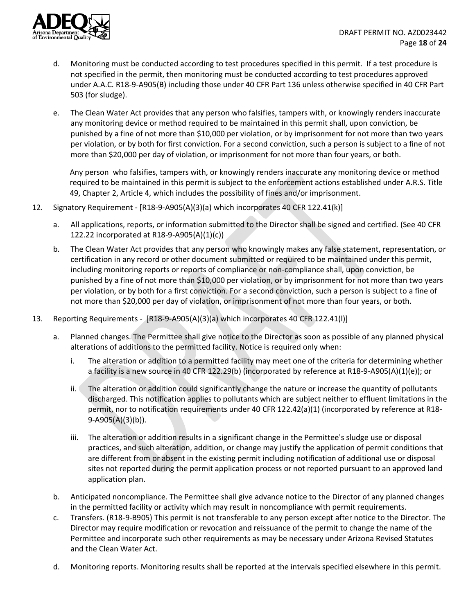

- d. Monitoring must be conducted according to test procedures specified in this permit. If a test procedure is not specified in the permit, then monitoring must be conducted according to test procedures approved under A.A.C. R18-9-A905(B) including those under 40 CFR Part 136 unless otherwise specified in 40 CFR Part 503 (for sludge).
- e. The Clean Water Act provides that any person who falsifies, tampers with, or knowingly renders inaccurate any monitoring device or method required to be maintained in this permit shall, upon conviction, be punished by a fine of not more than \$10,000 per violation, or by imprisonment for not more than two years per violation, or by both for first conviction. For a second conviction, such a person is subject to a fine of not more than \$20,000 per day of violation, or imprisonment for not more than four years, or both.

Any person who falsifies, tampers with, or knowingly renders inaccurate any monitoring device or method required to be maintained in this permit is subject to the enforcement actions established under A.R.S. Title 49, Chapter 2, Article 4, which includes the possibility of fines and/or imprisonment.

- 12. Signatory Requirement [R18-9-A905(A)(3)(a) which incorporates 40 CFR 122.41(k)]
	- a. All applications, reports, or information submitted to the Director shall be signed and certified. (See 40 CFR 122.22 incorporated at R18-9-A905(A)(1)(c))
	- b. The Clean Water Act provides that any person who knowingly makes any false statement, representation, or certification in any record or other document submitted or required to be maintained under this permit, including monitoring reports or reports of compliance or non-compliance shall, upon conviction, be punished by a fine of not more than \$10,000 per violation, or by imprisonment for not more than two years per violation, or by both for a first conviction. For a second conviction, such a person is subject to a fine of not more than \$20,000 per day of violation, or imprisonment of not more than four years, or both.
- 13. Reporting Requirements [R18-9-A905(A)(3)(a) which incorporates 40 CFR 122.41(l)]
	- a. Planned changes. The Permittee shall give notice to the Director as soon as possible of any planned physical alterations of additions to the permitted facility. Notice is required only when:
		- i. The alteration or addition to a permitted facility may meet one of the criteria for determining whether a facility is a new source in 40 CFR 122.29(b) (incorporated by reference at R18-9-A905(A)(1)(e)); or
		- ii. The alteration or addition could significantly change the nature or increase the quantity of pollutants discharged. This notification applies to pollutants which are subject neither to effluent limitations in the permit, nor to notification requirements under 40 CFR 122.42(a)(1) (incorporated by reference at R18- 9-A905(A)(3)(b)).
		- iii. The alteration or addition results in a significant change in the Permittee's sludge use or disposal practices, and such alteration, addition, or change may justify the application of permit conditions that are different from or absent in the existing permit including notification of additional use or disposal sites not reported during the permit application process or not reported pursuant to an approved land application plan.
	- b. Anticipated noncompliance. The Permittee shall give advance notice to the Director of any planned changes in the permitted facility or activity which may result in noncompliance with permit requirements.
	- c. Transfers. (R18-9-B905) This permit is not transferable to any person except after notice to the Director. The Director may require modification or revocation and reissuance of the permit to change the name of the Permittee and incorporate such other requirements as may be necessary under Arizona Revised Statutes and the Clean Water Act.
	- d. Monitoring reports. Monitoring results shall be reported at the intervals specified elsewhere in this permit.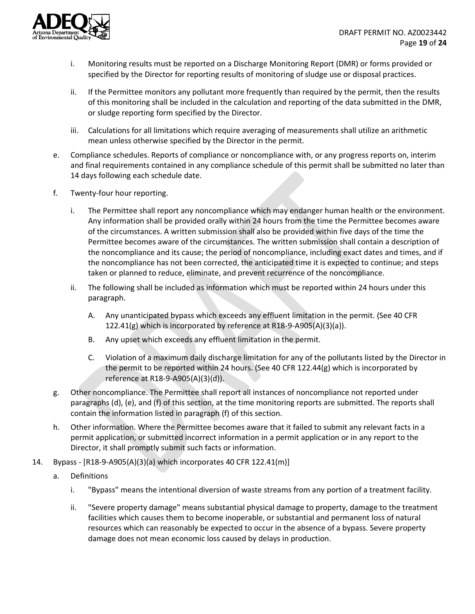

- i. Monitoring results must be reported on a Discharge Monitoring Report (DMR) or forms provided or specified by the Director for reporting results of monitoring of sludge use or disposal practices.
- ii. If the Permittee monitors any pollutant more frequently than required by the permit, then the results of this monitoring shall be included in the calculation and reporting of the data submitted in the DMR, or sludge reporting form specified by the Director.
- iii. Calculations for all limitations which require averaging of measurements shall utilize an arithmetic mean unless otherwise specified by the Director in the permit.
- e. Compliance schedules. Reports of compliance or noncompliance with, or any progress reports on, interim and final requirements contained in any compliance schedule of this permit shall be submitted no later than 14 days following each schedule date.
- f. Twenty-four hour reporting.
	- i. The Permittee shall report any noncompliance which may endanger human health or the environment. Any information shall be provided orally within 24 hours from the time the Permittee becomes aware of the circumstances. A written submission shall also be provided within five days of the time the Permittee becomes aware of the circumstances. The written submission shall contain a description of the noncompliance and its cause; the period of noncompliance, including exact dates and times, and if the noncompliance has not been corrected, the anticipated time it is expected to continue; and steps taken or planned to reduce, eliminate, and prevent recurrence of the noncompliance.
	- ii. The following shall be included as information which must be reported within 24 hours under this paragraph.
		- A. Any unanticipated bypass which exceeds any effluent limitation in the permit. (See 40 CFR 122.41(g) which is incorporated by reference at R18-9-A905(A)(3)(a)).
		- B. Any upset which exceeds any effluent limitation in the permit.
		- C. Violation of a maximum daily discharge limitation for any of the pollutants listed by the Director in the permit to be reported within 24 hours. (See 40 CFR 122.44(g) which is incorporated by reference at R18-9-A905(A)(3)(d)).
- g. Other noncompliance. The Permittee shall report all instances of noncompliance not reported under paragraphs (d), (e), and (f) of this section, at the time monitoring reports are submitted. The reports shall contain the information listed in paragraph (f) of this section.
- h. Other information. Where the Permittee becomes aware that it failed to submit any relevant facts in a permit application, or submitted incorrect information in a permit application or in any report to the Director, it shall promptly submit such facts or information.
- 14. Bypass [R18-9-A905(A)(3)(a) which incorporates 40 CFR 122.41(m)]
	- a. Definitions
		- i. "Bypass" means the intentional diversion of waste streams from any portion of a treatment facility.
		- ii. "Severe property damage" means substantial physical damage to property, damage to the treatment facilities which causes them to become inoperable, or substantial and permanent loss of natural resources which can reasonably be expected to occur in the absence of a bypass. Severe property damage does not mean economic loss caused by delays in production.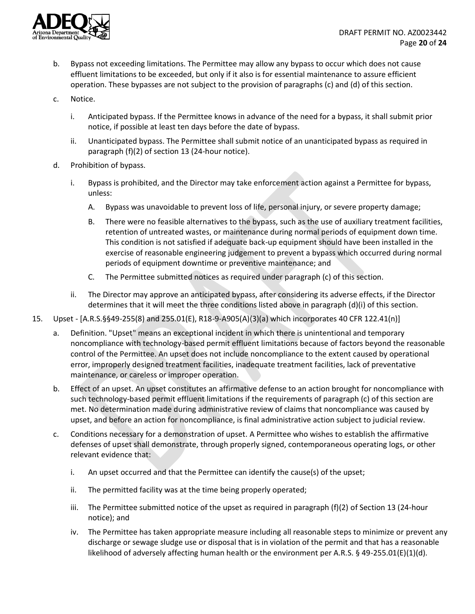

- b. Bypass not exceeding limitations. The Permittee may allow any bypass to occur which does not cause effluent limitations to be exceeded, but only if it also is for essential maintenance to assure efficient operation. These bypasses are not subject to the provision of paragraphs (c) and (d) of this section.
- c. Notice.
	- i. Anticipated bypass. If the Permittee knows in advance of the need for a bypass, it shall submit prior notice, if possible at least ten days before the date of bypass.
	- ii. Unanticipated bypass. The Permittee shall submit notice of an unanticipated bypass as required in paragraph (f)(2) of section 13 (24-hour notice).
- d. Prohibition of bypass.
	- i. Bypass is prohibited, and the Director may take enforcement action against a Permittee for bypass, unless:
		- A. Bypass was unavoidable to prevent loss of life, personal injury, or severe property damage;
		- B. There were no feasible alternatives to the bypass, such as the use of auxiliary treatment facilities, retention of untreated wastes, or maintenance during normal periods of equipment down time. This condition is not satisfied if adequate back-up equipment should have been installed in the exercise of reasonable engineering judgement to prevent a bypass which occurred during normal periods of equipment downtime or preventive maintenance; and
		- C. The Permittee submitted notices as required under paragraph (c) of this section.
	- ii. The Director may approve an anticipated bypass, after considering its adverse effects, if the Director determines that it will meet the three conditions listed above in paragraph (d)(i) of this section.
- 15. Upset [A.R.S.§§49-255(8) and 255.01(E), R18-9-A905(A)(3)(a) which incorporates 40 CFR 122.41(n)]
	- a. Definition. "Upset" means an exceptional incident in which there is unintentional and temporary noncompliance with technology-based permit effluent limitations because of factors beyond the reasonable control of the Permittee. An upset does not include noncompliance to the extent caused by operational error, improperly designed treatment facilities, inadequate treatment facilities, lack of preventative maintenance, or careless or improper operation.
	- b. Effect of an upset. An upset constitutes an affirmative defense to an action brought for noncompliance with such technology-based permit effluent limitations if the requirements of paragraph (c) of this section are met. No determination made during administrative review of claims that noncompliance was caused by upset, and before an action for noncompliance, is final administrative action subject to judicial review.
	- c. Conditions necessary for a demonstration of upset. A Permittee who wishes to establish the affirmative defenses of upset shall demonstrate, through properly signed, contemporaneous operating logs, or other relevant evidence that:
		- i. An upset occurred and that the Permittee can identify the cause(s) of the upset;
		- ii. The permitted facility was at the time being properly operated;
		- iii. The Permittee submitted notice of the upset as required in paragraph (f)(2) of Section 13 (24-hour notice); and
		- iv. The Permittee has taken appropriate measure including all reasonable steps to minimize or prevent any discharge or sewage sludge use or disposal that is in violation of the permit and that has a reasonable likelihood of adversely affecting human health or the environment per A.R.S. § 49-255.01(E)(1)(d).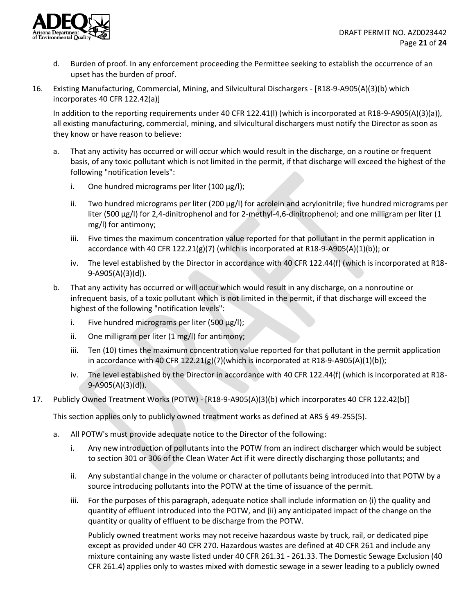

- d. Burden of proof. In any enforcement proceeding the Permittee seeking to establish the occurrence of an upset has the burden of proof.
- 16. Existing Manufacturing, Commercial, Mining, and Silvicultural Dischargers [R18-9-A905(A)(3)(b) which incorporates 40 CFR 122.42(a)]

In addition to the reporting requirements under 40 CFR 122.41(l) (which is incorporated at R18-9-A905(A)(3)(a)), all existing manufacturing, commercial, mining, and silvicultural dischargers must notify the Director as soon as they know or have reason to believe:

- a. That any activity has occurred or will occur which would result in the discharge, on a routine or frequent basis, of any toxic pollutant which is not limited in the permit, if that discharge will exceed the highest of the following "notification levels":
	- i. One hundred micrograms per liter (100 μg/l);
	- ii. Two hundred micrograms per liter (200 μg/l) for acrolein and acrylonitrile; five hundred micrograms per liter (500 μg/l) for 2,4-dinitrophenol and for 2-methyl-4,6-dinitrophenol; and one milligram per liter (1 mg/l) for antimony;
	- iii. Five times the maximum concentration value reported for that pollutant in the permit application in accordance with 40 CFR 122.21(g)(7) (which is incorporated at R18-9-A905(A)(1)(b)); or
	- iv. The level established by the Director in accordance with 40 CFR 122.44(f) (which is incorporated at R18- 9-A905(A)(3)(d)).
- b. That any activity has occurred or will occur which would result in any discharge, on a nonroutine or infrequent basis, of a toxic pollutant which is not limited in the permit, if that discharge will exceed the highest of the following "notification levels":
	- i. Five hundred micrograms per liter (500  $\mu$ g/l);
	- ii. One milligram per liter (1 mg/l) for antimony;
	- iii. Ten (10) times the maximum concentration value reported for that pollutant in the permit application in accordance with 40 CFR 122.21(g)(7)(which is incorporated at R18-9-A905(A)(1)(b));
	- iv. The level established by the Director in accordance with 40 CFR 122.44(f) (which is incorporated at R18- 9-A905(A)(3)(d)).
- 17. Publicly Owned Treatment Works (POTW) [R18-9-A905(A)(3)(b) which incorporates 40 CFR 122.42(b)]

This section applies only to publicly owned treatment works as defined at ARS § 49-255(5).

- a. All POTW's must provide adequate notice to the Director of the following:
	- i. Any new introduction of pollutants into the POTW from an indirect discharger which would be subject to section 301 or 306 of the Clean Water Act if it were directly discharging those pollutants; and
	- ii. Any substantial change in the volume or character of pollutants being introduced into that POTW by a source introducing pollutants into the POTW at the time of issuance of the permit.
	- iii. For the purposes of this paragraph, adequate notice shall include information on (i) the quality and quantity of effluent introduced into the POTW, and (ii) any anticipated impact of the change on the quantity or quality of effluent to be discharge from the POTW.

Publicly owned treatment works may not receive hazardous waste by truck, rail, or dedicated pipe except as provided under 40 CFR 270. Hazardous wastes are defined at 40 CFR 261 and include any mixture containing any waste listed under 40 CFR 261.31 - 261.33. The Domestic Sewage Exclusion (40 CFR 261.4) applies only to wastes mixed with domestic sewage in a sewer leading to a publicly owned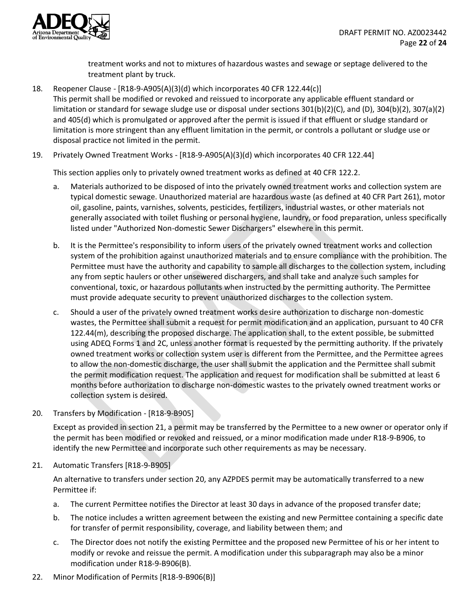

treatment works and not to mixtures of hazardous wastes and sewage or septage delivered to the treatment plant by truck.

18. Reopener Clause - [R18-9-A905(A)(3)(d) which incorporates 40 CFR 122.44(c)] This permit shall be modified or revoked and reissued to incorporate any applicable effluent standard or limitation or standard for sewage sludge use or disposal under sections 301(b)(2)(C), and (D), 304(b)(2), 307(a)(2) and 405(d) which is promulgated or approved after the permit is issued if that effluent or sludge standard or limitation is more stringent than any effluent limitation in the permit, or controls a pollutant or sludge use or disposal practice not limited in the permit.

19. Privately Owned Treatment Works - [R18-9-A905(A)(3)(d) which incorporates 40 CFR 122.44]

This section applies only to privately owned treatment works as defined at 40 CFR 122.2.

- a. Materials authorized to be disposed of into the privately owned treatment works and collection system are typical domestic sewage. Unauthorized material are hazardous waste (as defined at 40 CFR Part 261), motor oil, gasoline, paints, varnishes, solvents, pesticides, fertilizers, industrial wastes, or other materials not generally associated with toilet flushing or personal hygiene, laundry, or food preparation, unless specifically listed under "Authorized Non-domestic Sewer Dischargers" elsewhere in this permit.
- b. It is the Permittee's responsibility to inform users of the privately owned treatment works and collection system of the prohibition against unauthorized materials and to ensure compliance with the prohibition. The Permittee must have the authority and capability to sample all discharges to the collection system, including any from septic haulers or other unsewered dischargers, and shall take and analyze such samples for conventional, toxic, or hazardous pollutants when instructed by the permitting authority. The Permittee must provide adequate security to prevent unauthorized discharges to the collection system.
- c. Should a user of the privately owned treatment works desire authorization to discharge non-domestic wastes, the Permittee shall submit a request for permit modification and an application, pursuant to 40 CFR 122.44(m), describing the proposed discharge. The application shall, to the extent possible, be submitted using ADEQ Forms 1 and 2C, unless another format is requested by the permitting authority. If the privately owned treatment works or collection system user is different from the Permittee, and the Permittee agrees to allow the non-domestic discharge, the user shall submit the application and the Permittee shall submit the permit modification request. The application and request for modification shall be submitted at least 6 months before authorization to discharge non-domestic wastes to the privately owned treatment works or collection system is desired.
- 20. Transfers by Modification [R18-9-B905]

Except as provided in section 21, a permit may be transferred by the Permittee to a new owner or operator only if the permit has been modified or revoked and reissued, or a minor modification made under R18-9-B906, to identify the new Permittee and incorporate such other requirements as may be necessary.

21. Automatic Transfers [R18-9-B905]

An alternative to transfers under section 20, any AZPDES permit may be automatically transferred to a new Permittee if:

- a. The current Permittee notifies the Director at least 30 days in advance of the proposed transfer date;
- b. The notice includes a written agreement between the existing and new Permittee containing a specific date for transfer of permit responsibility, coverage, and liability between them; and
- c. The Director does not notify the existing Permittee and the proposed new Permittee of his or her intent to modify or revoke and reissue the permit. A modification under this subparagraph may also be a minor modification under R18-9-B906(B).
- 22. Minor Modification of Permits [R18-9-B906(B)]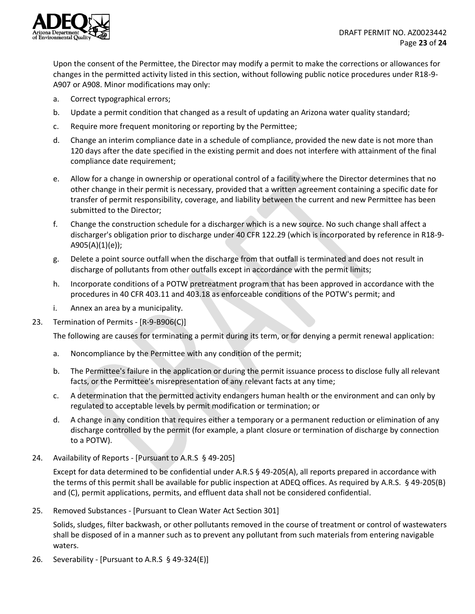

Upon the consent of the Permittee, the Director may modify a permit to make the corrections or allowances for changes in the permitted activity listed in this section, without following public notice procedures under R18-9- A907 or A908. Minor modifications may only:

- a. Correct typographical errors;
- b. Update a permit condition that changed as a result of updating an Arizona water quality standard;
- c. Require more frequent monitoring or reporting by the Permittee;
- d. Change an interim compliance date in a schedule of compliance, provided the new date is not more than 120 days after the date specified in the existing permit and does not interfere with attainment of the final compliance date requirement;
- e. Allow for a change in ownership or operational control of a facility where the Director determines that no other change in their permit is necessary, provided that a written agreement containing a specific date for transfer of permit responsibility, coverage, and liability between the current and new Permittee has been submitted to the Director;
- f. Change the construction schedule for a discharger which is a new source. No such change shall affect a discharger's obligation prior to discharge under 40 CFR 122.29 (which is incorporated by reference in R18-9- A905(A)(1)(e));
- g. Delete a point source outfall when the discharge from that outfall is terminated and does not result in discharge of pollutants from other outfalls except in accordance with the permit limits;
- h. Incorporate conditions of a POTW pretreatment program that has been approved in accordance with the procedures in 40 CFR 403.11 and 403.18 as enforceable conditions of the POTW's permit; and
- i. Annex an area by a municipality.
- 23. Termination of Permits [R-9-B906(C)]

The following are causes for terminating a permit during its term, or for denying a permit renewal application:

- a. Noncompliance by the Permittee with any condition of the permit;
- b. The Permittee's failure in the application or during the permit issuance process to disclose fully all relevant facts, or the Permittee's misrepresentation of any relevant facts at any time;
- c. A determination that the permitted activity endangers human health or the environment and can only by regulated to acceptable levels by permit modification or termination; or
- d. A change in any condition that requires either a temporary or a permanent reduction or elimination of any discharge controlled by the permit (for example, a plant closure or termination of discharge by connection to a POTW).
- 24. Availability of Reports [Pursuant to A.R.S § 49-205]

Except for data determined to be confidential under A.R.S § 49-205(A), all reports prepared in accordance with the terms of this permit shall be available for public inspection at ADEQ offices. As required by A.R.S. § 49-205(B) and (C), permit applications, permits, and effluent data shall not be considered confidential.

25. Removed Substances - [Pursuant to Clean Water Act Section 301]

Solids, sludges, filter backwash, or other pollutants removed in the course of treatment or control of wastewaters shall be disposed of in a manner such as to prevent any pollutant from such materials from entering navigable waters.

26. Severability - [Pursuant to A.R.S § 49-324(E)]